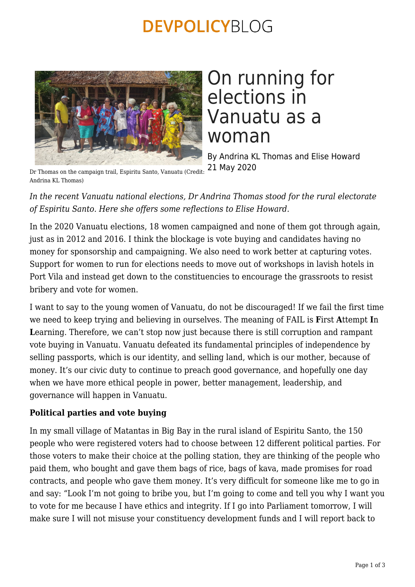# **DEVPOLICYBLOG**



# On running for elections in Vanuatu as a woman

By Andrina KL Thomas and Elise Howard 21 May 2020

Dr Thomas on the campaign trail, Espiritu Santo, Vanuatu (Credit: Andrina KL Thomas)

*In the recent Vanuatu national elections, Dr Andrina Thomas stood for the rural electorate of Espiritu Santo. Here she offers some reflections to Elise Howard.*

In the 2020 Vanuatu elections, 18 women campaigned and none of them got through again, just as in 2012 and 2016. I think the blockage is vote buying and candidates having no money for sponsorship and campaigning. We also need to work better at capturing votes. Support for women to run for elections needs to move out of workshops in lavish hotels in Port Vila and instead get down to the constituencies to encourage the grassroots to resist bribery and vote for women.

I want to say to the young women of Vanuatu, do not be discouraged! If we fail the first time we need to keep trying and believing in ourselves. The meaning of FAIL is **F**irst **A**ttempt **I**n Learning. Therefore, we can't stop now just because there is still corruption and rampant vote buying in Vanuatu. Vanuatu defeated its fundamental principles of independence by selling passports, which is our identity, and selling land, which is our mother, because of money. It's our civic duty to continue to preach good governance, and hopefully one day when we have more ethical people in power, better management, leadership, and governance will happen in Vanuatu.

## **Political parties and vote buying**

In my small village of Matantas in Big Bay in the rural island of Espiritu Santo, the 150 people who were registered voters had to choose between 12 different political parties. For those voters to make their choice at the polling station, they are thinking of the people who paid them, who bought and gave them bags of rice, bags of kava, made promises for road contracts, and people who gave them money. It's very difficult for someone like me to go in and say: "Look I'm not going to bribe you, but I'm going to come and tell you why I want you to vote for me because I have ethics and integrity. If I go into Parliament tomorrow, I will make sure I will not misuse your constituency development funds and I will report back to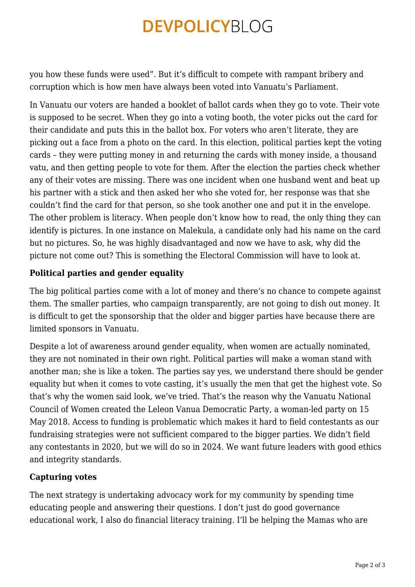# **DEVPOLICYBLOG**

you how these funds were used". But it's difficult to compete with rampant bribery and corruption which is how men have always been voted into Vanuatu's Parliament.

In Vanuatu our voters are handed a booklet of ballot cards when they go to vote. Their vote is supposed to be secret. When they go into a voting booth, the voter picks out the card for their candidate and puts this in the ballot box. For voters who aren't literate, they are picking out a face from a photo on the card. In this election, political parties kept the voting cards – they were putting money in and returning the cards with money inside, a thousand vatu, and then getting people to vote for them. After the election the parties check whether any of their votes are missing. There was one incident when one husband went and beat up his partner with a stick and then asked her who she voted for, her response was that she couldn't find the card for that person, so she took another one and put it in the envelope. The other problem is literacy. When people don't know how to read, the only thing they can identify is pictures. In one instance on Malekula, a candidate only had his name on the card but no pictures. So, he was highly disadvantaged and now we have to ask, why did the picture not come out? This is something the Electoral Commission will have to look at.

### **Political parties and gender equality**

The big political parties come with a lot of money and there's no chance to compete against them. The smaller parties, who campaign transparently, are not going to dish out money. It is difficult to get the sponsorship that the older and bigger parties have because there are limited sponsors in Vanuatu.

Despite a lot of awareness around gender equality, when women are actually nominated, they are not nominated in their own right. Political parties will make a woman stand with another man; she is like a token. The parties say yes, we understand there should be gender equality but when it comes to vote casting, it's usually the men that get the highest vote. So that's why the women said look, we've tried. That's the reason why the Vanuatu National Council of Women created the Leleon Vanua Democratic Party, a woman-led party on 15 May 2018. Access to funding is problematic which makes it hard to field contestants as our fundraising strategies were not sufficient compared to the bigger parties. We didn't field any contestants in 2020, but we will do so in 2024. We want future leaders with good ethics and integrity standards.

#### **Capturing votes**

The next strategy is undertaking advocacy work for my community by spending time educating people and answering their questions. I don't just do good governance educational work, I also do financial literacy training. I'll be helping the Mamas who are